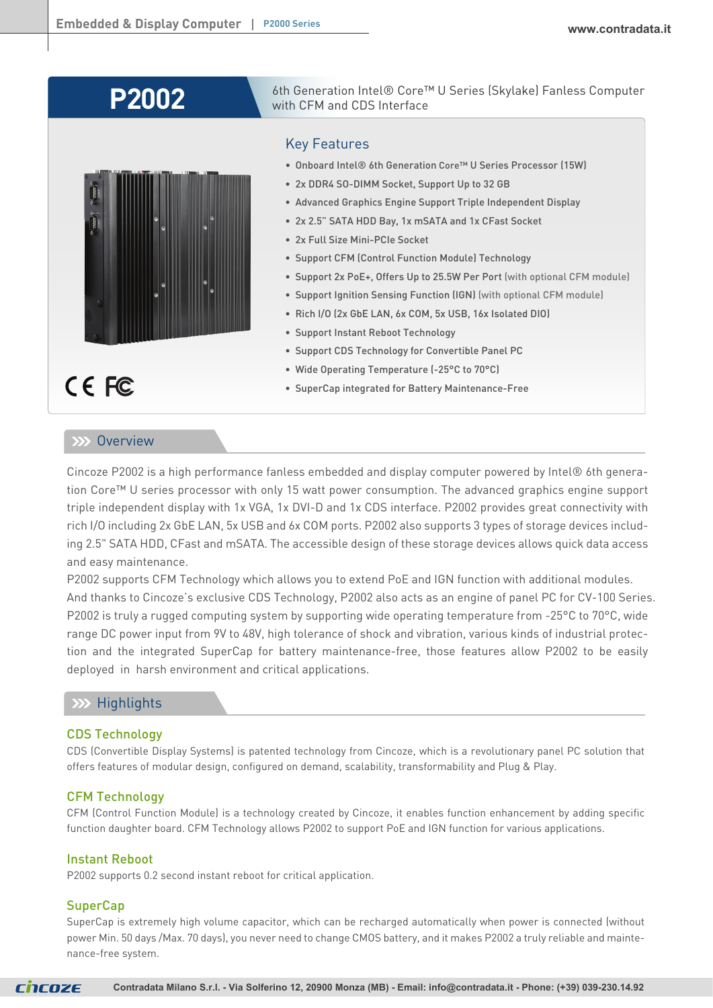# **P2002**



6th Generation Intel® Core™ U Series (Skylake) Fanless Computer with CFM and CDS Interface

# Key Features

- Onboard Intel® 6th Generation Core™ U Series Processor (15W)
- 2x DDR4 SO-DIMM Socket, Support Up to 32 GB
- Advanced Graphics Engine Support Triple Independent Display
- 2x 2.5" SATA HDD Bay, 1x mSATA and 1x CFast Socket
- 2x Full Size Mini-PCIe Socket
- Support CFM (Control Function Module) Technology
- Support 2x PoE+, Offers Up to 25.5W Per Port (with optional CFM module)
- Support Ignition Sensing Function (IGN) (with optional CFM module)
- Rich I/O (2x GbE LAN, 6x COM, 5x USB, 16x Isolated DIO)
- Support Instant Reboot Technology
- Support CDS Technology for Convertible Panel PC
- Wide Operating Temperature (-25°C to 70°C)
- SuperCap integrated for Battery Maintenance-Free

CE FC

# **XXX** Overview

Cincoze P2002 is a high performance fanless embedded and display computer powered by Intel® 6th generation Core™ U series processor with only 15 watt power consumption. The advanced graphics engine support triple independent display with 1x VGA, 1x DVI-D and 1x CDS interface. P2002 provides great connectivity with rich I/O including 2x GbE LAN, 5x USB and 6x COM ports. P2002 also supports 3 types of storage devices including 2.5" SATA HDD, CFast and mSATA. The accessible design of these storage devices allows quick data access and easy maintenance.

P2002 supports CFM Technology which allows you to extend PoE and IGN function with additional modules. And thanks to Cincoze's exclusive CDS Technology, P2002 also acts as an engine of panel PC for CV-100 Series. P2002 is truly a rugged computing system by supporting wide operating temperature from -25°C to 70°C, wide range DC power input from 9V to 48V, high tolerance of shock and vibration, various kinds of industrial protection and the integrated SuperCap for battery maintenance-free, those features allow P2002 to be easily deployed in harsh environment and critical applications.

# **XX** Highlights

# CDS Technology

CDS (Convertible Display Systems) is patented technology from Cincoze, which is a revolutionary panel PC solution that offers features of modular design, configured on demand, scalability, transformability and Plug & Play.

# CFM Technology

CFM (Control Function Module) is a technology created by Cincoze, it enables function enhancement by adding specific function daughter board. CFM Technology allows P2002 to support PoE and IGN function for various applications.

# Instant Reboot

P2002 supports 0.2 second instant reboot for critical application.

# **SuperCap**

SuperCap is extremely high volume capacitor, which can be recharged automatically when power is connected (without power Min. 50 days /Max. 70 days), you never need to change CMOS battery, and it makes P2002 a truly reliable and maintenance-free system.

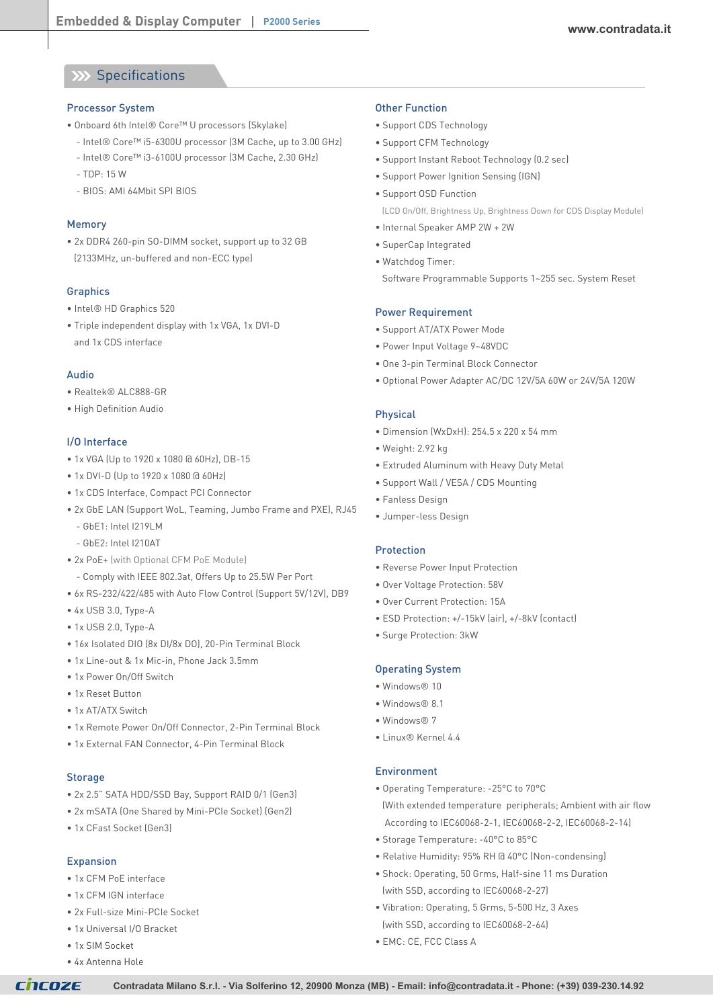# **XX Specifications**

#### Processor System

- Onboard 6th Intel® Core™ U processors (Skylake)
	- Intel® Core™ i5-6300U processor (3M Cache, up to 3.00 GHz)
	- Intel® Core™ i3-6100U processor (3M Cache, 2.30 GHz)
	- TDP: 15 W
	- BIOS: AMI 64Mbit SPI BIOS

# Memory

• 2x DDR4 260-pin SO-DIMM socket, support up to 32 GB (2133MHz, un-buffered and non-ECC type)

# **Graphics**

- Intel® HD Graphics 520
- Triple independent display with 1x VGA, 1x DVI-D and 1x CDS interface

#### Audio

- Realtek® ALC888-GR
- High Definition Audio

### I/O Interface

- 1x VGA (Up to 1920 x 1080 @ 60Hz), DB-15
- 1x DVI-D (Up to 1920 x 1080 @ 60Hz)
- 1x CDS Interface, Compact PCI Connector
- 2x GbE LAN (Support WoL, Teaming, Jumbo Frame and PXE), RJ45
	- GbE1: Intel I219LM
	- GbE2: Intel I210AT
- 2x PoE+ (with Optional CFM PoE Module)
	- Comply with IEEE 802.3at, Offers Up to 25.5W Per Port
- 6x RS-232/422/485 with Auto Flow Control (Support 5V/12V), DB9
- 4x USB 3.0, Type-A
- 1x USB 2.0, Type-A
- 16x Isolated DIO (8x DI/8x DO), 20-Pin Terminal Block
- 1x Line-out & 1x Mic-in, Phone Jack 3.5mm
- 1x Power On/Off Switch
- 1x Reset Button
- 1x AT/ATX Switch
- 1x Remote Power On/Off Connector, 2-Pin Terminal Block
- 1x External FAN Connector, 4-Pin Terminal Block

#### **Storage**

- 2x 2.5" SATA HDD/SSD Bay, Support RAID 0/1 (Gen3)
- 2x mSATA (One Shared by Mini-PCIe Socket) (Gen2)
- 1x CFast Socket (Gen3)

#### Expansion

- 1x CFM PoE interface
- 1x CFM IGN interface
- 2x Full-size Mini-PCIe Socket
- 1x Universal I/O Bracket
- 1x SIM Socket
- 4x Antenna Hole

#### Other Function

- Support CDS Technology
- Support CFM Technology
- Support Instant Reboot Technology (0.2 sec)
- Support Power Ignition Sensing (IGN)
- Support OSD Function (LCD On/Off, Brightness Up, Brightness Down for CDS Display Module)
	-
- Internal Speaker AMP 2W + 2W
- SuperCap Integrated
- Watchdog Timer: Software Programmable Supports 1~255 sec. System Reset

#### Power Requirement

- Support AT/ATX Power Mode
- Power Input Voltage 9~48VDC
- One 3-pin Terminal Block Connector
- Optional Power Adapter AC/DC 12V/5A 60W or 24V/5A 120W

#### Physical

- Dimension (WxDxH): 254.5 x 220 x 54 mm
- Weight: 2.92 kg
- Extruded Aluminum with Heavy Duty Metal
- Support Wall / VESA / CDS Mounting
- Fanless Design
- Jumper-less Design

#### Protection

- Reverse Power Input Protection
- Over Voltage Protection: 58V
- Over Current Protection: 15A
- ESD Protection: +/-15kV (air), +/-8kV (contact)
- Surge Protection: 3kW

#### Operating System

- Windows® 10
- Windows® 8.1
- Windows® 7
- Linux® Kernel 4.4

#### Environment

- Operating Temperature: -25°C to 70°C
- (With extended temperature peripherals; Ambient with air flow According to IEC60068-2-1, IEC60068-2-2, IEC60068-2-14)
- Storage Temperature: -40°C to 85°C
- Relative Humidity: 95% RH @ 40°C (Non-condensing)
- Shock: Operating, 50 Grms, Half-sine 11 ms Duration (with SSD, according to IEC60068-2-27)
- Vibration: Operating, 5 Grms, 5-500 Hz, 3 Axes (with SSD, according to IEC60068-2-64)
- EMC: CE, FCC Class A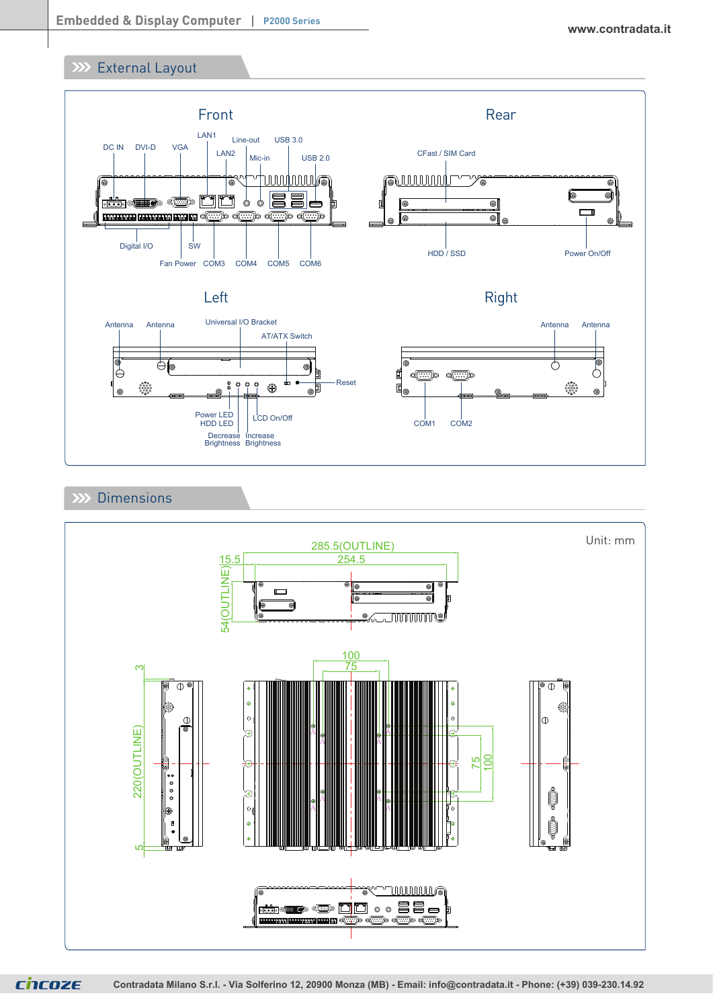# **External Layout**



# XX Dimensions



**CNCOZE**